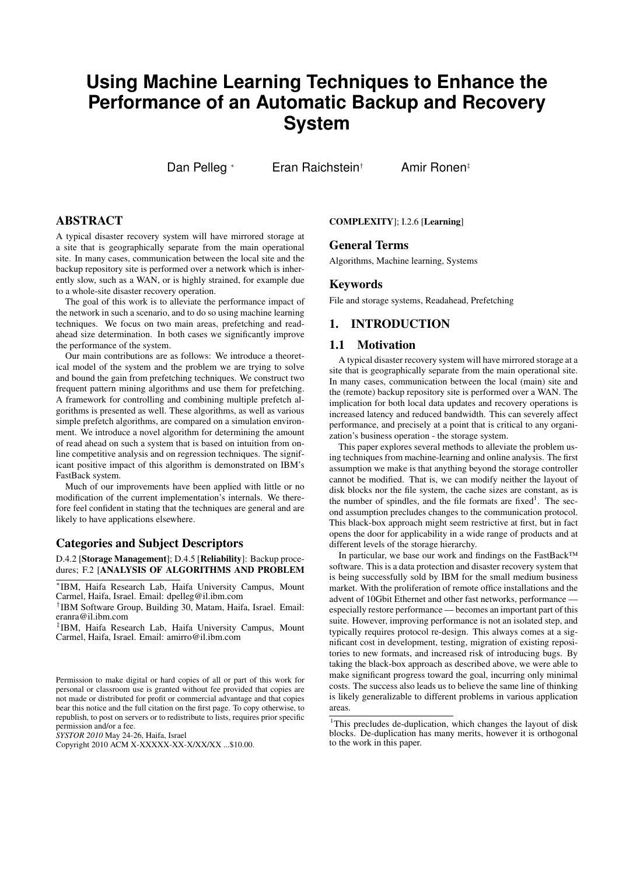# **Using Machine Learning Techniques to Enhance the Performance of an Automatic Backup and Recovery System**

Dan Pelleg <sup>∗</sup> Eran Raichstein<sup>†</sup> Amir Ronen<sup>‡</sup>

# ABSTRACT

A typical disaster recovery system will have mirrored storage at a site that is geographically separate from the main operational site. In many cases, communication between the local site and the backup repository site is performed over a network which is inherently slow, such as a WAN, or is highly strained, for example due to a whole-site disaster recovery operation.

The goal of this work is to alleviate the performance impact of the network in such a scenario, and to do so using machine learning techniques. We focus on two main areas, prefetching and readahead size determination. In both cases we significantly improve the performance of the system.

Our main contributions are as follows: We introduce a theoretical model of the system and the problem we are trying to solve and bound the gain from prefetching techniques. We construct two frequent pattern mining algorithms and use them for prefetching. A framework for controlling and combining multiple prefetch algorithms is presented as well. These algorithms, as well as various simple prefetch algorithms, are compared on a simulation environment. We introduce a novel algorithm for determining the amount of read ahead on such a system that is based on intuition from online competitive analysis and on regression techniques. The significant positive impact of this algorithm is demonstrated on IBM's FastBack system.

Much of our improvements have been applied with little or no modification of the current implementation's internals. We therefore feel confident in stating that the techniques are general and are likely to have applications elsewhere.

## Categories and Subject Descriptors

D.4.2 [Storage Management]; D.4.5 [Reliability]: Backup procedures; F.2 [ANALYSIS OF ALGORITHMS AND PROBLEM

∗ IBM, Haifa Research Lab, Haifa University Campus, Mount Carmel, Haifa, Israel. Email: dpelleg@il.ibm.com

† IBM Software Group, Building 30, Matam, Haifa, Israel. Email: eranra@il.ibm.com

‡ IBM, Haifa Research Lab, Haifa University Campus, Mount Carmel, Haifa, Israel. Email: amirro@il.ibm.com

*SYSTOR 2010* May 24-26, Haifa, Israel

COMPLEXITY]; I.2.6 [Learning]

# General Terms

Algorithms, Machine learning, Systems

#### Keywords

File and storage systems, Readahead, Prefetching

# 1. INTRODUCTION

### 1.1 Motivation

A typical disaster recovery system will have mirrored storage at a site that is geographically separate from the main operational site. In many cases, communication between the local (main) site and the (remote) backup repository site is performed over a WAN. The implication for both local data updates and recovery operations is increased latency and reduced bandwidth. This can severely affect performance, and precisely at a point that is critical to any organization's business operation - the storage system.

This paper explores several methods to alleviate the problem using techniques from machine-learning and online analysis. The first assumption we make is that anything beyond the storage controller cannot be modified. That is, we can modify neither the layout of disk blocks nor the file system, the cache sizes are constant, as is the number of spindles, and the file formats are fixed<sup>1</sup>. The second assumption precludes changes to the communication protocol. This black-box approach might seem restrictive at first, but in fact opens the door for applicability in a wide range of products and at different levels of the storage hierarchy.

In particular, we base our work and findings on the FastBack™ software. This is a data protection and disaster recovery system that is being successfully sold by IBM for the small medium business market. With the proliferation of remote office installations and the advent of 10Gbit Ethernet and other fast networks, performance especially restore performance — becomes an important part of this suite. However, improving performance is not an isolated step, and typically requires protocol re-design. This always comes at a significant cost in development, testing, migration of existing repositories to new formats, and increased risk of introducing bugs. By taking the black-box approach as described above, we were able to make significant progress toward the goal, incurring only minimal costs. The success also leads us to believe the same line of thinking is likely generalizable to different problems in various application areas.

Permission to make digital or hard copies of all or part of this work for personal or classroom use is granted without fee provided that copies are not made or distributed for profit or commercial advantage and that copies bear this notice and the full citation on the first page. To copy otherwise, to republish, to post on servers or to redistribute to lists, requires prior specific permission and/or a fee.

Copyright 2010 ACM X-XXXXX-XX-X/XX/XX ...\$10.00.

<sup>&</sup>lt;sup>1</sup>This precludes de-duplication, which changes the layout of disk blocks. De-duplication has many merits, however it is orthogonal to the work in this paper.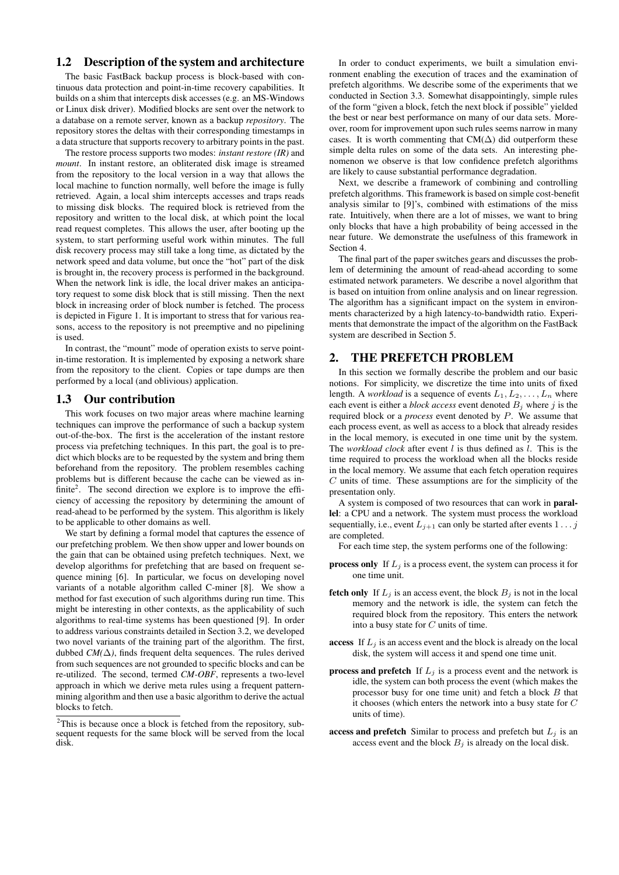# 1.2 Description of the system and architecture

The basic FastBack backup process is block-based with continuous data protection and point-in-time recovery capabilities. It builds on a shim that intercepts disk accesses (e.g. an MS-Windows or Linux disk driver). Modified blocks are sent over the network to a database on a remote server, known as a backup *repository*. The repository stores the deltas with their corresponding timestamps in a data structure that supports recovery to arbitrary points in the past.

The restore process supports two modes: *instant restore (IR)* and *mount*. In instant restore, an obliterated disk image is streamed from the repository to the local version in a way that allows the local machine to function normally, well before the image is fully retrieved. Again, a local shim intercepts accesses and traps reads to missing disk blocks. The required block is retrieved from the repository and written to the local disk, at which point the local read request completes. This allows the user, after booting up the system, to start performing useful work within minutes. The full disk recovery process may still take a long time, as dictated by the network speed and data volume, but once the "hot" part of the disk is brought in, the recovery process is performed in the background. When the network link is idle, the local driver makes an anticipatory request to some disk block that is still missing. Then the next block in increasing order of block number is fetched. The process is depicted in Figure 1. It is important to stress that for various reasons, access to the repository is not preemptive and no pipelining is used.

In contrast, the "mount" mode of operation exists to serve pointin-time restoration. It is implemented by exposing a network share from the repository to the client. Copies or tape dumps are then performed by a local (and oblivious) application.

#### 1.3 Our contribution

This work focuses on two major areas where machine learning techniques can improve the performance of such a backup system out-of-the-box. The first is the acceleration of the instant restore process via prefetching techniques. In this part, the goal is to predict which blocks are to be requested by the system and bring them beforehand from the repository. The problem resembles caching problems but is different because the cache can be viewed as infinite<sup>2</sup>. The second direction we explore is to improve the efficiency of accessing the repository by determining the amount of read-ahead to be performed by the system. This algorithm is likely to be applicable to other domains as well.

We start by defining a formal model that captures the essence of our prefetching problem. We then show upper and lower bounds on the gain that can be obtained using prefetch techniques. Next, we develop algorithms for prefetching that are based on frequent sequence mining [6]. In particular, we focus on developing novel variants of a notable algorithm called C-miner [8]. We show a method for fast execution of such algorithms during run time. This might be interesting in other contexts, as the applicability of such algorithms to real-time systems has been questioned [9]. In order to address various constraints detailed in Section 3.2, we developed two novel variants of the training part of the algorithm. The first, dubbed  $CM(\Delta)$ , finds frequent delta sequences. The rules derived from such sequences are not grounded to specific blocks and can be re-utilized. The second, termed *CM-OBF*, represents a two-level approach in which we derive meta rules using a frequent patternmining algorithm and then use a basic algorithm to derive the actual blocks to fetch.

In order to conduct experiments, we built a simulation environment enabling the execution of traces and the examination of prefetch algorithms. We describe some of the experiments that we conducted in Section 3.3. Somewhat disappointingly, simple rules of the form "given a block, fetch the next block if possible" yielded the best or near best performance on many of our data sets. Moreover, room for improvement upon such rules seems narrow in many cases. It is worth commenting that CM( $\Delta$ ) did outperform these simple delta rules on some of the data sets. An interesting phenomenon we observe is that low confidence prefetch algorithms are likely to cause substantial performance degradation.

Next, we describe a framework of combining and controlling prefetch algorithms. This framework is based on simple cost-benefit analysis similar to [9]'s, combined with estimations of the miss rate. Intuitively, when there are a lot of misses, we want to bring only blocks that have a high probability of being accessed in the near future. We demonstrate the usefulness of this framework in Section 4.

The final part of the paper switches gears and discusses the problem of determining the amount of read-ahead according to some estimated network parameters. We describe a novel algorithm that is based on intuition from online analysis and on linear regression. The algorithm has a significant impact on the system in environments characterized by a high latency-to-bandwidth ratio. Experiments that demonstrate the impact of the algorithm on the FastBack system are described in Section 5.

## 2. THE PREFETCH PROBLEM

In this section we formally describe the problem and our basic notions. For simplicity, we discretize the time into units of fixed length. A *workload* is a sequence of events  $L_1, L_2, \ldots, L_n$  where each event is either a *block access* event denoted  $B_i$  where j is the required block or a *process* event denoted by P. We assume that each process event, as well as access to a block that already resides in the local memory, is executed in one time unit by the system. The *workload clock* after event  $l$  is thus defined as  $l$ . This is the time required to process the workload when all the blocks reside in the local memory. We assume that each fetch operation requires  $C$  units of time. These assumptions are for the simplicity of the presentation only.

A system is composed of two resources that can work in parallel: a CPU and a network. The system must process the workload sequentially, i.e., event  $L_{i+1}$  can only be started after events  $1 \dots j$ are completed.

For each time step, the system performs one of the following:

- **process only** If  $L_i$  is a process event, the system can process it for one time unit.
- **fetch only** If  $L_i$  is an access event, the block  $B_i$  is not in the local memory and the network is idle, the system can fetch the required block from the repository. This enters the network into a busy state for C units of time.
- access If  $L_i$  is an access event and the block is already on the local disk, the system will access it and spend one time unit.
- **process and prefetch** If  $L_i$  is a process event and the network is idle, the system can both process the event (which makes the processor busy for one time unit) and fetch a block  $B$  that it chooses (which enters the network into a busy state for C units of time).
- access and prefetch Similar to process and prefetch but  $L_i$  is an access event and the block  $B_j$  is already on the local disk.

 $2$ This is because once a block is fetched from the repository, subsequent requests for the same block will be served from the local disk.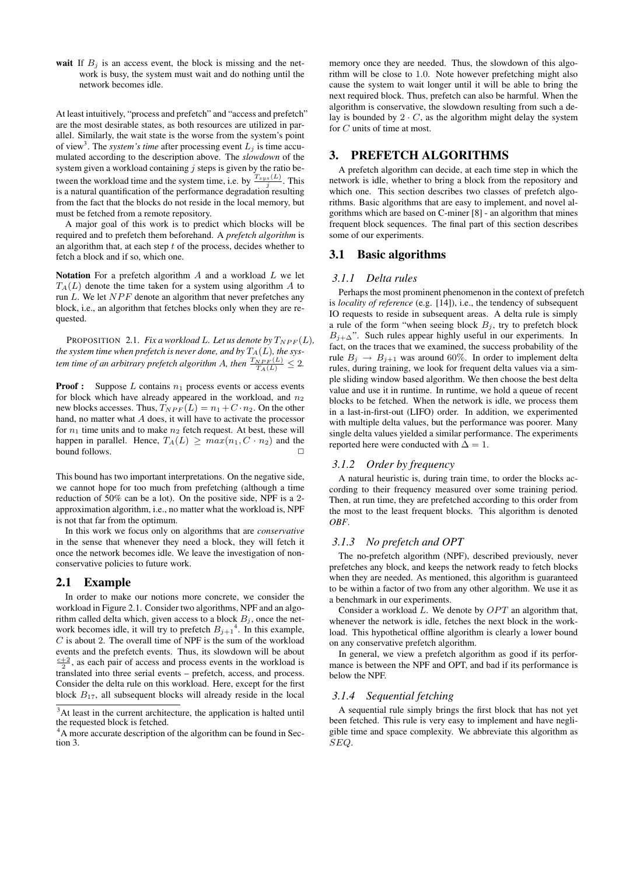wait If  $B_i$  is an access event, the block is missing and the network is busy, the system must wait and do nothing until the network becomes idle.

At least intuitively, "process and prefetch" and "access and prefetch" are the most desirable states, as both resources are utilized in parallel. Similarly, the wait state is the worse from the system's point of view<sup>3</sup>. The *system's time* after processing event  $L_j$  is time accumulated according to the description above. The *slowdown* of the system given a workload containing  $j$  steps is given by the ratio between the workload time and the system time, i.e. by  $\frac{T_{sys}(L)}{j}$ . This is a natural quantification of the performance degradation resulting from the fact that the blocks do not reside in the local memory, but must be fetched from a remote repository.

A major goal of this work is to predict which blocks will be required and to prefetch them beforehand. A *prefetch algorithm* is an algorithm that, at each step  $t$  of the process, decides whether to fetch a block and if so, which one.

Notation For a prefetch algorithm  $A$  and a workload  $L$  we let  $T_A(L)$  denote the time taken for a system using algorithm A to run  $L$ . We let  $NPF$  denote an algorithm that never prefetches any block, i.e., an algorithm that fetches blocks only when they are requested.

PROPOSITION 2.1. *Fix a workload L. Let us denote by*  $T_{NPF}(L)$ *, the system time when prefetch is never done, and by* $T_A(L)$ *, the system time of an arbitrary prefetch algorithm A, then*  $\frac{T_{NPF}(L)}{T_A(L)} \leq 2$ .

**Proof :** Suppose  $L$  contains  $n_1$  process events or access events for block which have already appeared in the workload, and  $n_2$ new blocks accesses. Thus,  $T_{NPF}(L) = n_1 + C \cdot n_2$ . On the other hand, no matter what  $A$  does, it will have to activate the processor for  $n_1$  time units and to make  $n_2$  fetch request. At best, these will happen in parallel. Hence,  $T_A(L) \geq max(n_1, C \cdot n_2)$  and the bound follows.

This bound has two important interpretations. On the negative side, we cannot hope for too much from prefetching (although a time reduction of 50% can be a lot). On the positive side, NPF is a 2 approximation algorithm, i.e., no matter what the workload is, NPF is not that far from the optimum.

In this work we focus only on algorithms that are *conservative* in the sense that whenever they need a block, they will fetch it once the network becomes idle. We leave the investigation of nonconservative policies to future work.

#### 2.1 Example

In order to make our notions more concrete, we consider the workload in Figure 2.1. Consider two algorithms, NPF and an algorithm called delta which, given access to a block  $B_i$ , once the network becomes idle, it will try to prefetch  $B_{j+1}^4$ . In this example,  $C$  is about 2. The overall time of NPF is the sum of the workload events and the prefetch events. Thus, its slowdown will be about  $\frac{c+2}{2}$ , as each pair of access and process events in the workload is translated into three serial events – prefetch, access, and process. Consider the delta rule on this workload. Here, except for the first block  $B_{17}$ , all subsequent blocks will already reside in the local

memory once they are needed. Thus, the slowdown of this algorithm will be close to 1.0. Note however prefetching might also cause the system to wait longer until it will be able to bring the next required block. Thus, prefetch can also be harmful. When the algorithm is conservative, the slowdown resulting from such a delay is bounded by  $2 \cdot C$ , as the algorithm might delay the system for C units of time at most.

## 3. PREFETCH ALGORITHMS

A prefetch algorithm can decide, at each time step in which the network is idle, whether to bring a block from the repository and which one. This section describes two classes of prefetch algorithms. Basic algorithms that are easy to implement, and novel algorithms which are based on C-miner [8] - an algorithm that mines frequent block sequences. The final part of this section describes some of our experiments.

### 3.1 Basic algorithms

#### *3.1.1 Delta rules*

Perhaps the most prominent phenomenon in the context of prefetch is *locality of reference* (e.g. [14]), i.e., the tendency of subsequent IO requests to reside in subsequent areas. A delta rule is simply a rule of the form "when seeing block  $B_i$ , try to prefetch block  $B_{i+\Delta}$ ". Such rules appear highly useful in our experiments. In fact, on the traces that we examined, the success probability of the rule  $B_j \rightarrow B_{j+1}$  was around 60%. In order to implement delta rules, during training, we look for frequent delta values via a simple sliding window based algorithm. We then choose the best delta value and use it in runtime. In runtime, we hold a queue of recent blocks to be fetched. When the network is idle, we process them in a last-in-first-out (LIFO) order. In addition, we experimented with multiple delta values, but the performance was poorer. Many single delta values yielded a similar performance. The experiments reported here were conducted with  $\Delta = 1$ .

#### *3.1.2 Order by frequency*

A natural heuristic is, during train time, to order the blocks according to their frequency measured over some training period. Then, at run time, they are prefetched according to this order from the most to the least frequent blocks. This algorithm is denoted *OBF*.

### *3.1.3 No prefetch and OPT*

The no-prefetch algorithm (NPF), described previously, never prefetches any block, and keeps the network ready to fetch blocks when they are needed. As mentioned, this algorithm is guaranteed to be within a factor of two from any other algorithm. We use it as a benchmark in our experiments.

Consider a workload  $L$ . We denote by  $OPT$  an algorithm that. whenever the network is idle, fetches the next block in the workload. This hypothetical offline algorithm is clearly a lower bound on any conservative prefetch algorithm.

In general, we view a prefetch algorithm as good if its performance is between the NPF and OPT, and bad if its performance is below the NPF.

#### *3.1.4 Sequential fetching*

A sequential rule simply brings the first block that has not yet been fetched. This rule is very easy to implement and have negligible time and space complexity. We abbreviate this algorithm as SEQ.

<sup>&</sup>lt;sup>3</sup>At least in the current architecture, the application is halted until the requested block is fetched.

<sup>&</sup>lt;sup>4</sup>A more accurate description of the algorithm can be found in Section 3.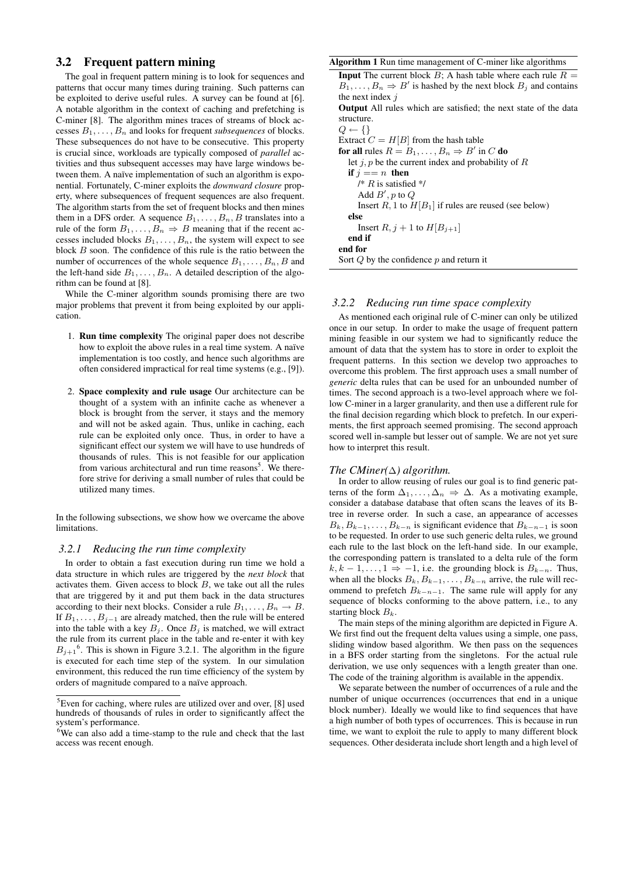## 3.2 Frequent pattern mining

The goal in frequent pattern mining is to look for sequences and patterns that occur many times during training. Such patterns can be exploited to derive useful rules. A survey can be found at [6]. A notable algorithm in the context of caching and prefetching is C-miner [8]. The algorithm mines traces of streams of block accesses  $B_1, \ldots, B_n$  and looks for frequent *subsequences* of blocks. These subsequences do not have to be consecutive. This property is crucial since, workloads are typically composed of *parallel* activities and thus subsequent accesses may have large windows between them. A naïve implementation of such an algorithm is exponential. Fortunately, C-miner exploits the *downward closure* property, where subsequences of frequent sequences are also frequent. The algorithm starts from the set of frequent blocks and then mines them in a DFS order. A sequence  $B_1, \ldots, B_n, B$  translates into a rule of the form  $B_1, \ldots, B_n \Rightarrow B$  meaning that if the recent accesses included blocks  $B_1, \ldots, B_n$ , the system will expect to see block B soon. The confidence of this rule is the ratio between the number of occurrences of the whole sequence  $B_1, \ldots, B_n, B$  and the left-hand side  $B_1, \ldots, B_n$ . A detailed description of the algorithm can be found at [8].

While the C-miner algorithm sounds promising there are two major problems that prevent it from being exploited by our application.

- 1. Run time complexity The original paper does not describe how to exploit the above rules in a real time system. A naïve implementation is too costly, and hence such algorithms are often considered impractical for real time systems (e.g., [9]).
- 2. Space complexity and rule usage Our architecture can be thought of a system with an infinite cache as whenever a block is brought from the server, it stays and the memory and will not be asked again. Thus, unlike in caching, each rule can be exploited only once. Thus, in order to have a significant effect our system we will have to use hundreds of thousands of rules. This is not feasible for our application from various architectural and run time reasons<sup>5</sup>. We therefore strive for deriving a small number of rules that could be utilized many times.

In the following subsections, we show how we overcame the above limitations.

#### *3.2.1 Reducing the run time complexity*

In order to obtain a fast execution during run time we hold a data structure in which rules are triggered by the *next block* that activates them. Given access to block  $B$ , we take out all the rules that are triggered by it and put them back in the data structures according to their next blocks. Consider a rule  $B_1, \ldots, B_n \to B$ . If  $B_1, \ldots, B_{j-1}$  are already matched, then the rule will be entered into the table with a key  $B_j$ . Once  $B_j$  is matched, we will extract the rule from its current place in the table and re-enter it with key  $B_{j+1}$ <sup>6</sup>. This is shown in Figure 3.2.1. The algorithm in the figure is executed for each time step of the system. In our simulation environment, this reduced the run time efficiency of the system by orders of magnitude compared to a naïve approach.

#### Algorithm 1 Run time management of C-miner like algorithms

| <b>Input</b> The current block B; A hash table where each rule $R =$             |
|----------------------------------------------------------------------------------|
| $B_1, \ldots, B_n \Rightarrow B'$ is hashed by the next block $B_j$ and contains |
| the next index $\dot{\eta}$                                                      |
| <b>Output</b> All rules which are satisfied; the next state of the data          |
| structure.                                                                       |
| $Q \leftarrow \{\}$                                                              |
| Extract $C = H[B]$ from the hash table                                           |
| for all rules $R = B_1, \ldots, B_n \Rightarrow B'$ in C do                      |
| let <i>i</i> , <i>p</i> be the current index and probability of R                |
| if $i == n$ then                                                                 |
| /* $R$ is satisfied */                                                           |
| Add $B'$ , p to Q                                                                |
| Insert R, 1 to $H[B_1]$ if rules are reused (see below)                          |
| else                                                                             |
| Insert R, $j + 1$ to $H[B_{i+1}]$                                                |
| end if                                                                           |
| end for                                                                          |
| Sort $Q$ by the confidence $p$ and return it                                     |
|                                                                                  |

#### *3.2.2 Reducing run time space complexity*

As mentioned each original rule of C-miner can only be utilized once in our setup. In order to make the usage of frequent pattern mining feasible in our system we had to significantly reduce the amount of data that the system has to store in order to exploit the frequent patterns. In this section we develop two approaches to overcome this problem. The first approach uses a small number of *generic* delta rules that can be used for an unbounded number of times. The second approach is a two-level approach where we follow C-miner in a larger granularity, and then use a different rule for the final decision regarding which block to prefetch. In our experiments, the first approach seemed promising. The second approach scored well in-sample but lesser out of sample. We are not yet sure how to interpret this result.

## *The CMiner(*∆*) algorithm.*

In order to allow reusing of rules our goal is to find generic patterns of the form  $\Delta_1, \ldots, \Delta_n \Rightarrow \Delta$ . As a motivating example, consider a database database that often scans the leaves of its Btree in reverse order. In such a case, an appearance of accesses  $B_k, B_{k-1}, \ldots, B_{k-n}$  is significant evidence that  $B_{k-n-1}$  is soon to be requested. In order to use such generic delta rules, we ground each rule to the last block on the left-hand side. In our example, the corresponding pattern is translated to a delta rule of the form  $k, k-1, \ldots, 1 \Rightarrow -1$ , i.e. the grounding block is  $B_{k-n}$ . Thus, when all the blocks  $B_k, B_{k-1}, \ldots, B_{k-n}$  arrive, the rule will recommend to prefetch  $B_{k-n-1}$ . The same rule will apply for any sequence of blocks conforming to the above pattern, i.e., to any starting block  $B_k$ .

The main steps of the mining algorithm are depicted in Figure A. We first find out the frequent delta values using a simple, one pass, sliding window based algorithm. We then pass on the sequences in a BFS order starting from the singletons. For the actual rule derivation, we use only sequences with a length greater than one. The code of the training algorithm is available in the appendix.

We separate between the number of occurrences of a rule and the number of unique occurrences (occurrences that end in a unique block number). Ideally we would like to find sequences that have a high number of both types of occurrences. This is because in run time, we want to exploit the rule to apply to many different block sequences. Other desiderata include short length and a high level of

 ${}^{5}$ Even for caching, where rules are utilized over and over, [8] used hundreds of thousands of rules in order to significantly affect the system's performance.

<sup>&</sup>lt;sup>6</sup>We can also add a time-stamp to the rule and check that the last access was recent enough.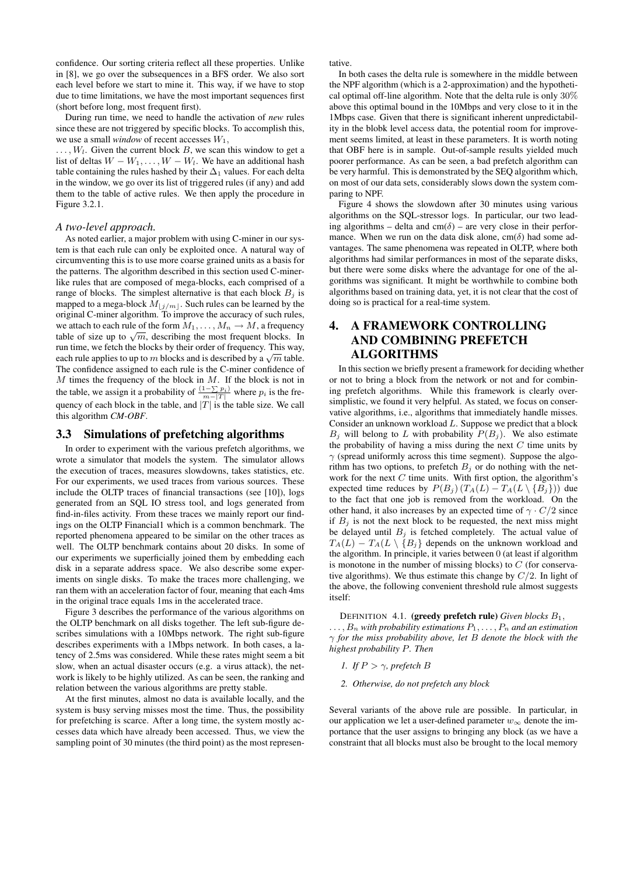confidence. Our sorting criteria reflect all these properties. Unlike in [8], we go over the subsequences in a BFS order. We also sort each level before we start to mine it. This way, if we have to stop due to time limitations, we have the most important sequences first (short before long, most frequent first).

During run time, we need to handle the activation of *new* rules since these are not triggered by specific blocks. To accomplish this, we use a small *window* of recent accesses  $W_1$ ,

 $\dots, W_l$ . Given the current block B, we scan this window to get a list of deltas  $W - W_1, \ldots, W - W_l$ . We have an additional hash table containing the rules hashed by their  $\Delta_1$  values. For each delta in the window, we go over its list of triggered rules (if any) and add them to the table of active rules. We then apply the procedure in Figure 3.2.1.

#### *A two-level approach.*

As noted earlier, a major problem with using C-miner in our system is that each rule can only be exploited once. A natural way of circumventing this is to use more coarse grained units as a basis for the patterns. The algorithm described in this section used C-minerlike rules that are composed of mega-blocks, each comprised of a range of blocks. The simplest alternative is that each block  $B_i$  is mapped to a mega-block  $M_{\lfloor j/m \rfloor}$ . Such rules can be learned by the original C-miner algorithm. To improve the accuracy of such rules, we attach to each rule of the form  $M_1, \ldots, M_n \to M$ , a frequency we attach to each rule of the form  $m_1, \ldots, m_n \to m$ , a frequent blocks. In table of size up to  $\sqrt{m}$ , describing the most frequent blocks. In run time, we fetch the blocks by their order of frequency. This way, Fun time, we fetch the blocks by their order of frequency. This way, each rule applies to up to m blocks and is described by a  $\sqrt{m}$  table. The confidence assigned to each rule is the C-miner confidence of  $M$  times the frequency of the block in  $M$ . If the block is not in the table, we assign it a probability of  $\frac{(1-\sum p_i)}{m-|T|}$  where  $p_i$  is the frequency of each block in the table, and  $|T|$  is the table size. We call this algorithm *CM-OBF*.

## 3.3 Simulations of prefetching algorithms

In order to experiment with the various prefetch algorithms, we wrote a simulator that models the system. The simulator allows the execution of traces, measures slowdowns, takes statistics, etc. For our experiments, we used traces from various sources. These include the OLTP traces of financial transactions (see [10]), logs generated from an SQL IO stress tool, and logs generated from find-in-files activity. From these traces we mainly report our findings on the OLTP Financial1 which is a common benchmark. The reported phenomena appeared to be similar on the other traces as well. The OLTP benchmark contains about 20 disks. In some of our experiments we superficially joined them by embedding each disk in a separate address space. We also describe some experiments on single disks. To make the traces more challenging, we ran them with an acceleration factor of four, meaning that each 4ms in the original trace equals 1ms in the accelerated trace.

Figure 3 describes the performance of the various algorithms on the OLTP benchmark on all disks together. The left sub-figure describes simulations with a 10Mbps network. The right sub-figure describes experiments with a 1Mbps network. In both cases, a latency of 2.5ms was considered. While these rates might seem a bit slow, when an actual disaster occurs (e.g. a virus attack), the network is likely to be highly utilized. As can be seen, the ranking and relation between the various algorithms are pretty stable.

At the first minutes, almost no data is available locally, and the system is busy serving misses most the time. Thus, the possibility for prefetching is scarce. After a long time, the system mostly accesses data which have already been accessed. Thus, we view the sampling point of 30 minutes (the third point) as the most representative.

In both cases the delta rule is somewhere in the middle between the NPF algorithm (which is a 2-approximation) and the hypothetical optimal off-line algorithm. Note that the delta rule is only 30% above this optimal bound in the 10Mbps and very close to it in the 1Mbps case. Given that there is significant inherent unpredictability in the blobk level access data, the potential room for improvement seems limited, at least in these parameters. It is worth noting that OBF here is in sample. Out-of-sample results yielded much poorer performance. As can be seen, a bad prefetch algorithm can be very harmful. This is demonstrated by the SEQ algorithm which, on most of our data sets, considerably slows down the system comparing to NPF.

Figure 4 shows the slowdown after 30 minutes using various algorithms on the SQL-stressor logs. In particular, our two leading algorithms – delta and cm( $\delta$ ) – are very close in their performance. When we run on the data disk alone, cm( $\delta$ ) had some advantages. The same phenomena was repeated in OLTP, where both algorithms had similar performances in most of the separate disks, but there were some disks where the advantage for one of the algorithms was significant. It might be worthwhile to combine both algorithms based on training data, yet, it is not clear that the cost of doing so is practical for a real-time system.

# 4. A FRAMEWORK CONTROLLING AND COMBINING PREFETCH ALGORITHMS

In this section we briefly present a framework for deciding whether or not to bring a block from the network or not and for combining prefetch algorithms. While this framework is clearly oversimplistic, we found it very helpful. As stated, we focus on conservative algorithms, i.e., algorithms that immediately handle misses. Consider an unknown workload L. Suppose we predict that a block  $B_i$  will belong to L with probability  $P(B_i)$ . We also estimate the probability of having a miss during the next  $C$  time units by  $\gamma$  (spread uniformly across this time segment). Suppose the algorithm has two options, to prefetch  $B_i$  or do nothing with the network for the next  $C$  time units. With first option, the algorithm's expected time reduces by  $P(B_i) (T_A(L) - T_A(L \setminus \{B_i\}))$  due to the fact that one job is removed from the workload. On the other hand, it also increases by an expected time of  $\gamma \cdot C/2$  since if  $B_i$  is not the next block to be requested, the next miss might be delayed until  $B_i$  is fetched completely. The actual value of  $T_A(L) - T_A(L \setminus {B_j}$  depends on the unknown workload and the algorithm. In principle, it varies between 0 (at least if algorithm is monotone in the number of missing blocks) to  $C$  (for conservative algorithms). We thus estimate this change by  $C/2$ . In light of the above, the following convenient threshold rule almost suggests itself:

DEFINITION 4.1. (greedy prefetch rule) *Given blocks* B1,

 $\ldots$ ,  $B_n$  with probability estimations  $P_1, \ldots, P_n$  and an estimation γ *for the miss probability above, let* B *denote the block with the highest probability* P*. Then*

- *1. If*  $P > \gamma$ *, prefetch B*
- *2. Otherwise, do not prefetch any block*

Several variants of the above rule are possible. In particular, in our application we let a user-defined parameter  $w_{\infty}$  denote the importance that the user assigns to bringing any block (as we have a constraint that all blocks must also be brought to the local memory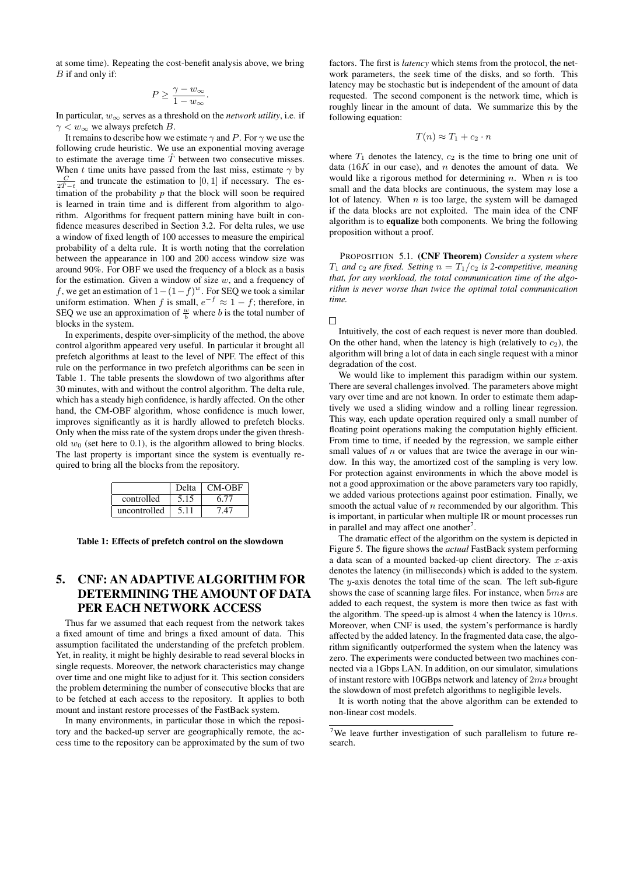at some time). Repeating the cost-benefit analysis above, we bring B if and only if:

$$
P \ge \frac{\gamma - w_\infty}{1 - w_\infty}.
$$

In particular,  $w_{\infty}$  serves as a threshold on the *network utility*, i.e. if  $\gamma < w_{\infty}$  we always prefetch B.

It remains to describe how we estimate  $\gamma$  and P. For  $\gamma$  we use the following crude heuristic. We use an exponential moving average to estimate the average time  $\hat{T}$  between two consecutive misses. When t time units have passed from the last miss, estimate  $\gamma$  by  $\frac{C}{2\hat{T}-t}$  and truncate the estimation to [0, 1] if necessary. The estimation of the probability  $p$  that the block will soon be required is learned in train time and is different from algorithm to algorithm. Algorithms for frequent pattern mining have built in confidence measures described in Section 3.2. For delta rules, we use a window of fixed length of 100 accesses to measure the empirical probability of a delta rule. It is worth noting that the correlation between the appearance in 100 and 200 access window size was around 90%. For OBF we used the frequency of a block as a basis for the estimation. Given a window of size  $w$ , and a frequency of f, we get an estimation of  $1-(1-f)^w$ . For SEQ we took a similar uniform estimation. When f is small,  $e^{-f} \approx 1 - f$ ; therefore, in SEQ we use an approximation of  $\frac{w}{b}$  where b is the total number of blocks in the system.

In experiments, despite over-simplicity of the method, the above control algorithm appeared very useful. In particular it brought all prefetch algorithms at least to the level of NPF. The effect of this rule on the performance in two prefetch algorithms can be seen in Table 1. The table presents the slowdown of two algorithms after 30 minutes, with and without the control algorithm. The delta rule, which has a steady high confidence, is hardly affected. On the other hand, the CM-OBF algorithm, whose confidence is much lower, improves significantly as it is hardly allowed to prefetch blocks. Only when the miss rate of the system drops under the given threshold  $w_0$  (set here to 0.1), is the algorithm allowed to bring blocks. The last property is important since the system is eventually required to bring all the blocks from the repository.

|              | Delta | <b>CM-OBF</b> |
|--------------|-------|---------------|
| controlled   | 5.15  | 6.T           |
| uncontrolled |       |               |

Table 1: Effects of prefetch control on the slowdown

# 5. CNF: AN ADAPTIVE ALGORITHM FOR DETERMINING THE AMOUNT OF DATA PER EACH NETWORK ACCESS

Thus far we assumed that each request from the network takes a fixed amount of time and brings a fixed amount of data. This assumption facilitated the understanding of the prefetch problem. Yet, in reality, it might be highly desirable to read several blocks in single requests. Moreover, the network characteristics may change over time and one might like to adjust for it. This section considers the problem determining the number of consecutive blocks that are to be fetched at each access to the repository. It applies to both mount and instant restore processes of the FastBack system.

In many environments, in particular those in which the repository and the backed-up server are geographically remote, the access time to the repository can be approximated by the sum of two

factors. The first is *latency* which stems from the protocol, the network parameters, the seek time of the disks, and so forth. This latency may be stochastic but is independent of the amount of data requested. The second component is the network time, which is roughly linear in the amount of data. We summarize this by the following equation:

$$
T(n) \approx T_1 + c_2 \cdot n
$$

where  $T_1$  denotes the latency,  $c_2$  is the time to bring one unit of data (16K in our case), and n denotes the amount of data. We would like a rigorous method for determining n. When n is too small and the data blocks are continuous, the system may lose a lot of latency. When  $n$  is too large, the system will be damaged if the data blocks are not exploited. The main idea of the CNF algorithm is to equalize both components. We bring the following proposition without a proof.

PROPOSITION 5.1. (CNF Theorem) *Consider a system where*  $T_1$  *and*  $c_2$  *are fixed. Setting*  $n = T_1/c_2$  *is 2-competitive, meaning that, for any workload, the total communication time of the algorithm is never worse than twice the optimal total communication time.*

 $\Box$ 

Intuitively, the cost of each request is never more than doubled. On the other hand, when the latency is high (relatively to  $c_2$ ), the algorithm will bring a lot of data in each single request with a minor degradation of the cost.

We would like to implement this paradigm within our system. There are several challenges involved. The parameters above might vary over time and are not known. In order to estimate them adaptively we used a sliding window and a rolling linear regression. This way, each update operation required only a small number of floating point operations making the computation highly efficient. From time to time, if needed by the regression, we sample either small values of  $n$  or values that are twice the average in our window. In this way, the amortized cost of the sampling is very low. For protection against environments in which the above model is not a good approximation or the above parameters vary too rapidly, we added various protections against poor estimation. Finally, we smooth the actual value of  $n$  recommended by our algorithm. This is important, in particular when multiple IR or mount processes run in parallel and may affect one another<sup>7</sup>.

The dramatic effect of the algorithm on the system is depicted in Figure 5. The figure shows the *actual* FastBack system performing a data scan of a mounted backed-up client directory. The  $x$ -axis denotes the latency (in milliseconds) which is added to the system. The y-axis denotes the total time of the scan. The left sub-figure shows the case of scanning large files. For instance, when 5ms are added to each request, the system is more then twice as fast with the algorithm. The speed-up is almost 4 when the latency is  $10ms$ . Moreover, when CNF is used, the system's performance is hardly affected by the added latency. In the fragmented data case, the algorithm significantly outperformed the system when the latency was zero. The experiments were conducted between two machines connected via a 1Gbps LAN. In addition, on our simulator, simulations of instant restore with 10GBps network and latency of 2ms brought the slowdown of most prefetch algorithms to negligible levels.

It is worth noting that the above algorithm can be extended to non-linear cost models.

<sup>7</sup>We leave further investigation of such parallelism to future research.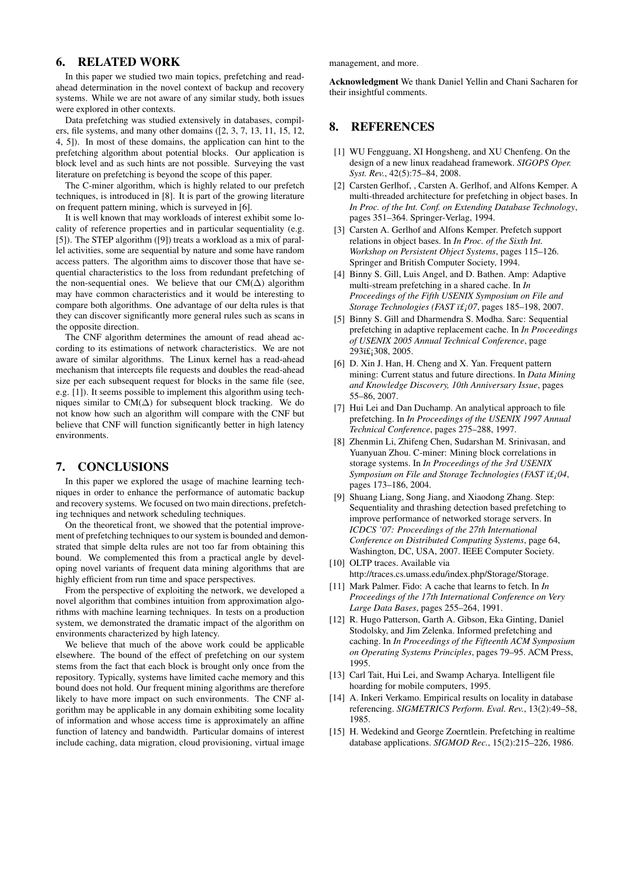# 6. RELATED WORK

In this paper we studied two main topics, prefetching and readahead determination in the novel context of backup and recovery systems. While we are not aware of any similar study, both issues were explored in other contexts.

Data prefetching was studied extensively in databases, compilers, file systems, and many other domains ([2, 3, 7, 13, 11, 15, 12, 4, 5]). In most of these domains, the application can hint to the prefetching algorithm about potential blocks. Our application is block level and as such hints are not possible. Surveying the vast literature on prefetching is beyond the scope of this paper.

The C-miner algorithm, which is highly related to our prefetch techniques, is introduced in [8]. It is part of the growing literature on frequent pattern mining, which is surveyed in [6].

It is well known that may workloads of interest exhibit some locality of reference properties and in particular sequentiality (e.g. [5]). The STEP algorithm ([9]) treats a workload as a mix of parallel activities, some are sequential by nature and some have random access patters. The algorithm aims to discover those that have sequential characteristics to the loss from redundant prefetching of the non-sequential ones. We believe that our  $CM(\Delta)$  algorithm may have common characteristics and it would be interesting to compare both algorithms. One advantage of our delta rules is that they can discover significantly more general rules such as scans in the opposite direction.

The CNF algorithm determines the amount of read ahead according to its estimations of network characteristics. We are not aware of similar algorithms. The Linux kernel has a read-ahead mechanism that intercepts file requests and doubles the read-ahead size per each subsequent request for blocks in the same file (see, e.g. [1]). It seems possible to implement this algorithm using techniques similar to  $CM(\Delta)$  for subsequent block tracking. We do not know how such an algorithm will compare with the CNF but believe that CNF will function significantly better in high latency environments.

### 7. CONCLUSIONS

In this paper we explored the usage of machine learning techniques in order to enhance the performance of automatic backup and recovery systems. We focused on two main directions, prefetching techniques and network scheduling techniques.

On the theoretical front, we showed that the potential improvement of prefetching techniques to our system is bounded and demonstrated that simple delta rules are not too far from obtaining this bound. We complemented this from a practical angle by developing novel variants of frequent data mining algorithms that are highly efficient from run time and space perspectives.

From the perspective of exploiting the network, we developed a novel algorithm that combines intuition from approximation algorithms with machine learning techniques. In tests on a production system, we demonstrated the dramatic impact of the algorithm on environments characterized by high latency.

We believe that much of the above work could be applicable elsewhere. The bound of the effect of prefetching on our system stems from the fact that each block is brought only once from the repository. Typically, systems have limited cache memory and this bound does not hold. Our frequent mining algorithms are therefore likely to have more impact on such environments. The CNF algorithm may be applicable in any domain exhibiting some locality of information and whose access time is approximately an affine function of latency and bandwidth. Particular domains of interest include caching, data migration, cloud provisioning, virtual image

management, and more.

Acknowledgment We thank Daniel Yellin and Chani Sacharen for their insightful comments.

# 8. REFERENCES

- [1] WU Fengguang, XI Hongsheng, and XU Chenfeng. On the design of a new linux readahead framework. *SIGOPS Oper. Syst. Rev.*, 42(5):75–84, 2008.
- [2] Carsten Gerlhof, , Carsten A. Gerlhof, and Alfons Kemper. A multi-threaded architecture for prefetching in object bases. In *In Proc. of the Int. Conf. on Extending Database Technology*, pages 351–364. Springer-Verlag, 1994.
- [3] Carsten A. Gerlhof and Alfons Kemper. Prefetch support relations in object bases. In *In Proc. of the Sixth Int. Workshop on Persistent Object Systems*, pages 115–126. Springer and British Computer Society, 1994.
- [4] Binny S. Gill, Luis Angel, and D. Bathen. Amp: Adaptive multi-stream prefetching in a shared cache. In *In Proceedings of the Fifth USENIX Symposium on File and Storage Technologies (FAST 07*, pages 185–198, 2007.
- [5] Binny S. Gill and Dharmendra S. Modha. Sarc: Sequential prefetching in adaptive replacement cache. In *In Proceedings of USENIX 2005 Annual Technical Conference*, page 293ï£;308, 2005.
- [6] D. Xin J. Han, H. Cheng and X. Yan. Frequent pattern mining: Current status and future directions. In *Data Mining and Knowledge Discovery, 10th Anniversary Issue*, pages 55–86, 2007.
- [7] Hui Lei and Dan Duchamp. An analytical approach to file prefetching. In *In Proceedings of the USENIX 1997 Annual Technical Conference*, pages 275–288, 1997.
- [8] Zhenmin Li, Zhifeng Chen, Sudarshan M. Srinivasan, and Yuanyuan Zhou. C-miner: Mining block correlations in storage systems. In *In Proceedings of the 3rd USENIX Symposium on File and Storage Technologies (FAST 04*, pages 173–186, 2004.
- [9] Shuang Liang, Song Jiang, and Xiaodong Zhang. Step: Sequentiality and thrashing detection based prefetching to improve performance of networked storage servers. In *ICDCS '07: Proceedings of the 27th International Conference on Distributed Computing Systems*, page 64, Washington, DC, USA, 2007. IEEE Computer Society.
- [10] OLTP traces. Available via http://traces.cs.umass.edu/index.php/Storage/Storage.
- [11] Mark Palmer. Fido: A cache that learns to fetch. In *In Proceedings of the 17th International Conference on Very Large Data Bases*, pages 255–264, 1991.
- [12] R. Hugo Patterson, Garth A. Gibson, Eka Ginting, Daniel Stodolsky, and Jim Zelenka. Informed prefetching and caching. In *In Proceedings of the Fifteenth ACM Symposium on Operating Systems Principles*, pages 79–95. ACM Press, 1995.
- [13] Carl Tait, Hui Lei, and Swamp Acharya. Intelligent file hoarding for mobile computers, 1995.
- [14] A. Inkeri Verkamo. Empirical results on locality in database referencing. *SIGMETRICS Perform. Eval. Rev.*, 13(2):49–58, 1985.
- [15] H. Wedekind and George Zoerntlein. Prefetching in realtime database applications. *SIGMOD Rec.*, 15(2):215–226, 1986.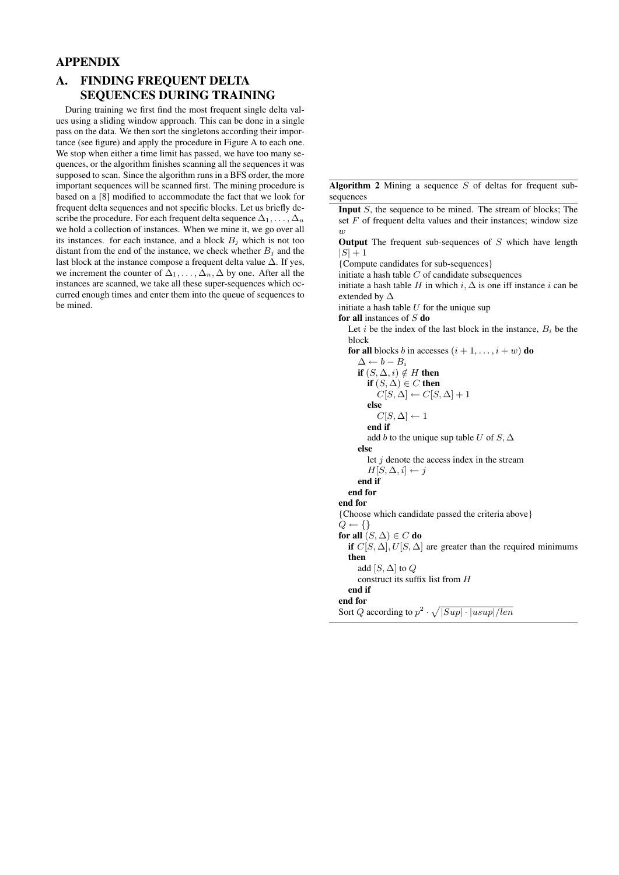# APPENDIX

# A. FINDING FREQUENT DELTA SEQUENCES DURING TRAINING

During training we first find the most frequent single delta values using a sliding window approach. This can be done in a single pass on the data. We then sort the singletons according their importance (see figure) and apply the procedure in Figure A to each one. We stop when either a time limit has passed, we have too many sequences, or the algorithm finishes scanning all the sequences it was supposed to scan. Since the algorithm runs in a BFS order, the more important sequences will be scanned first. The mining procedure is based on a [8] modified to accommodate the fact that we look for frequent delta sequences and not specific blocks. Let us briefly describe the procedure. For each frequent delta sequence  $\Delta_1, \ldots, \Delta_n$ we hold a collection of instances. When we mine it, we go over all its instances. for each instance, and a block  $B_j$  which is not too distant from the end of the instance, we check whether  $B_i$  and the last block at the instance compose a frequent delta value ∆. If yes, we increment the counter of  $\Delta_1, \ldots, \Delta_n, \Delta$  by one. After all the instances are scanned, we take all these super-sequences which occurred enough times and enter them into the queue of sequences to be mined.

Algorithm 2 Mining a sequence  $S$  of deltas for frequent subsequences

**Input**  $S$ , the sequence to be mined. The stream of blocks; The set  $F$  of frequent delta values and their instances; window size  $\overline{u}$ 

**Output** The frequent sub-sequences of  $S$  which have length  $|S| + 1$ 

{Compute candidates for sub-sequences}

initiate a hash table  $C$  of candidate subsequences

initiate a hash table H in which i,  $\Delta$  is one iff instance i can be extended by ∆

initiate a hash table  $U$  for the unique sup

for all instances of  $S$  do

Let i be the index of the last block in the instance,  $B_i$  be the block

for all blocks b in accesses  $(i + 1, \ldots, i + w)$  do  $\Delta \leftarrow b - B_i$ 

if  $(S, \Delta, i) \notin H$  then if  $(S, \Delta) \in C$  then  $C[S, \Delta] \leftarrow C[S, \Delta] + 1$ else  $C[S, \Delta] \leftarrow 1$ end if add b to the unique sup table U of  $S$ ,  $\Delta$ else let  $j$  denote the access index in the stream  $H[S, \Delta, i] \leftarrow j$ end if end for end for {Choose which candidate passed the criteria above}  $Q \leftarrow \{\}$ for all  $(S, \Delta) \in C$  do if  $C[S, \Delta], U[S, \Delta]$  are greater than the required minimums then add  $[S, \Delta]$  to  $Q$ construct its suffix list from H end if

end for

Sort Q according to  $p^2 \cdot \sqrt{|Sup| \cdot |usup|/len}$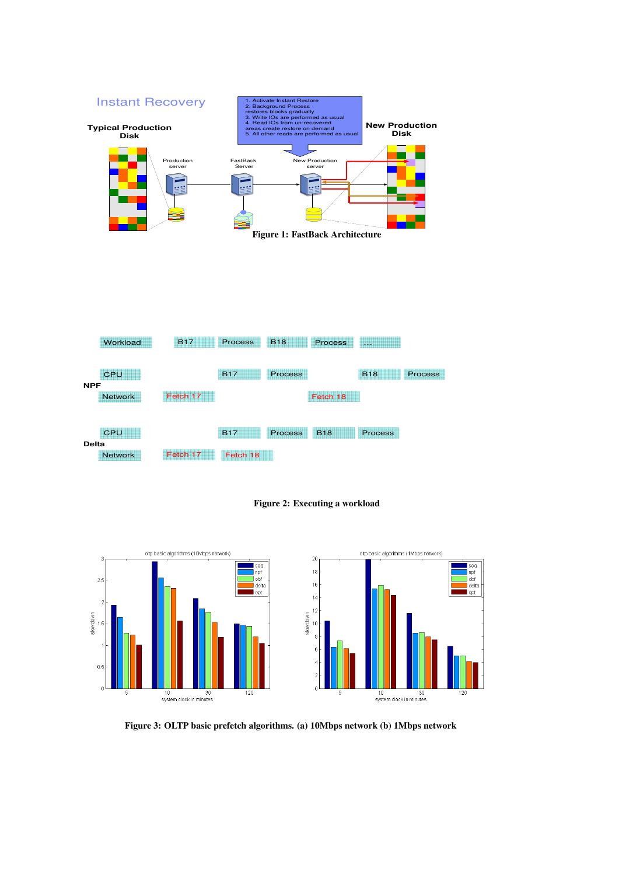

Figure 2: Executing a workload



Figure 3: OLTP basic prefetch algorithms. (a) 10Mbps network (b) 1Mbps network